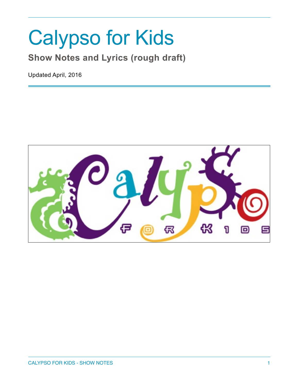# Calypso for Kids

**Show Notes and Lyrics (rough draft)**

Updated April, 2016

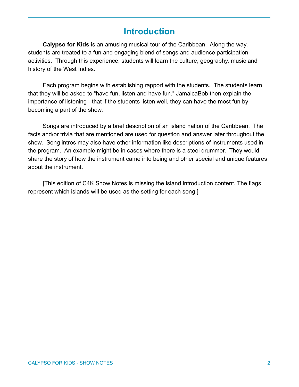# **Introduction**

**Calypso for Kids** is an amusing musical tour of the Caribbean. Along the way, students are treated to a fun and engaging blend of songs and audience participation activities. Through this experience, students will learn the culture, geography, music and history of the West Indies.

Each program begins with establishing rapport with the students. The students learn that they will be asked to "have fun, listen and have fun." JamaicaBob then explain the importance of listening - that if the students listen well, they can have the most fun by becoming a part of the show.

Songs are introduced by a brief description of an island nation of the Caribbean. The facts and/or trivia that are mentioned are used for question and answer later throughout the show. Song intros may also have other information like descriptions of instruments used in the program. An example might be in cases where there is a steel drummer. They would share the story of how the instrument came into being and other special and unique features about the instrument.

[This edition of C4K Show Notes is missing the island introduction content. The flags represent which islands will be used as the setting for each song.]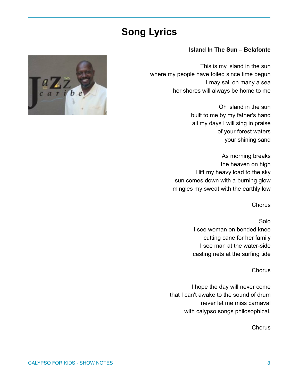# **Song Lyrics**

## **Island In The Sun – Belafonte**

This is my island in the sun where my people have toiled since time begun I may sail on many a sea her shores will always be home to me

> Oh island in the sun built to me by my father's hand all my days I will sing in praise of your forest waters your shining sand

As morning breaks the heaven on high I lift my heavy load to the sky sun comes down with a burning glow mingles my sweat with the earthly low

**Chorus** 

Solo I see woman on bended knee cutting cane for her family I see man at the water-side casting nets at the surfing tide

**Chorus** 

I hope the day will never come that I can't awake to the sound of drum never let me miss carnaval with calypso songs philosophical.

**Chorus** 

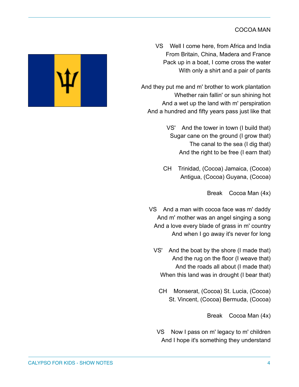### COCOA MAN

VS Well I come here, from Africa and India From Britain, China, Madera and France Pack up in a boat, I come cross the water With only a shirt and a pair of pants

 And they put me and m' brother to work plantation Whether rain fallin' or sun shining hot And a wet up the land with m' perspiration And a hundred and fifty years pass just like that

> VS' And the tower in town (I build that) Sugar cane on the ground (I grow that) The canal to the sea (I dig that) And the right to be free (I earn that)

CH Trinidad, (Cocoa) Jamaica, (Cocoa) Antigua, (Cocoa) Guyana, (Cocoa)

Break Cocoa Man (4x)

VS And a man with cocoa face was m' daddy And m' mother was an angel singing a song And a love every blade of grass in m' country And when I go away it's never for long

- VS' And the boat by the shore (I made that) And the rug on the floor (I weave that) And the roads all about (I made that) When this land was in drought (I bear that)
	- CH Monserat, (Cocoa) St. Lucia, (Cocoa) St. Vincent, (Cocoa) Bermuda, (Cocoa)

Break Cocoa Man (4x)

VS Now I pass on m' legacy to m' children And I hope it's something they understand

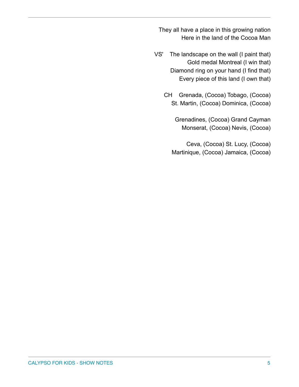They all have a place in this growing nation Here in the land of the Cocoa Man

- VS' The landscape on the wall (I paint that) Gold medal Montreal (I win that) Diamond ring on your hand (I find that) Every piece of this land (I own that)
	- CH Grenada, (Cocoa) Tobago, (Cocoa) St. Martin, (Cocoa) Dominica, (Cocoa)
		- Grenadines, (Cocoa) Grand Cayman Monserat, (Cocoa) Nevis, (Cocoa)

 Ceva, (Cocoa) St. Lucy, (Cocoa) Martinique, (Cocoa) Jamaica, (Cocoa)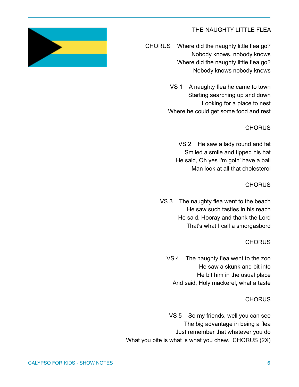# THE NAUGHTY LITTLE FLEA

CHORUS Where did the naughty little flea go? Nobody knows, nobody knows Where did the naughty little flea go? Nobody knows nobody knows

> VS 1 A naughty flea he came to town Starting searching up and down Looking for a place to nest Where he could get some food and rest

# **CHORUS**

VS 2 He saw a lady round and fat Smiled a smile and tipped his hat He said, Oh yes I'm goin' have a ball Man look at all that cholesterol

# **CHORUS**

VS 3 The naughty flea went to the beach He saw such tasties in his reach He said, Hooray and thank the Lord That's what I call a smorgasbord

# **CHORUS**

VS 4 The naughty flea went to the zoo He saw a skunk and bit into He bit him in the usual place And said, Holy mackerel, what a taste

# **CHORUS**

VS 5 So my friends, well you can see The big advantage in being a flea Just remember that whatever you do What you bite is what is what you chew. CHORUS (2X)

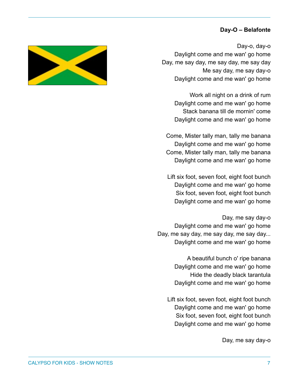#### **Day-O – Belafonte**

Day-o, day-o Daylight come and me wan' go home Day, me say day, me say day, me say day Me say day, me say day-o Daylight come and me wan' go home

> Work all night on a drink of rum Daylight come and me wan' go home Stack banana till de mornin' come Daylight come and me wan' go home

Come, Mister tally man, tally me banana Daylight come and me wan' go home Come, Mister tally man, tally me banana Daylight come and me wan' go home

Lift six foot, seven foot, eight foot bunch Daylight come and me wan' go home Six foot, seven foot, eight foot bunch Daylight come and me wan' go home

Day, me say day-o Daylight come and me wan' go home Day, me say day, me say day, me say day... Daylight come and me wan' go home

> A beautiful bunch o' ripe banana Daylight come and me wan' go home Hide the deadly black tarantula Daylight come and me wan' go home

Lift six foot, seven foot, eight foot bunch Daylight come and me wan' go home Six foot, seven foot, eight foot bunch Daylight come and me wan' go home

Day, me say day-o

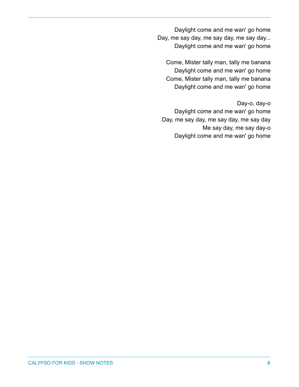Daylight come and me wan' go home Day, me say day, me say day, me say day... Daylight come and me wan' go home

Come, Mister tally man, tally me banana Daylight come and me wan' go home Come, Mister tally man, tally me banana Daylight come and me wan' go home

Day-o, day-o Daylight come and me wan' go home Day, me say day, me say day, me say day Me say day, me say day-o Daylight come and me wan' go home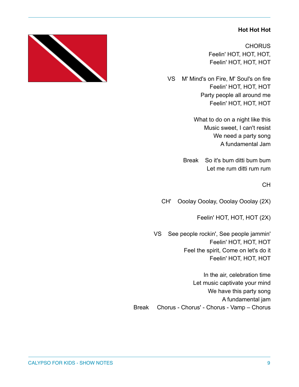#### **Hot Hot Hot**

**CHORUS**  Feelin' HOT, HOT, HOT, Feelin' HOT, HOT, HOT

VS M' Mind's on Fire, M' Soul's on fire Feelin' HOT, HOT, HOT Party people all around me Feelin' HOT, HOT, HOT

> What to do on a night like this Music sweet, I can't resist We need a party song A fundamental Jam

Break So it's bum ditti bum bum Let me rum ditti rum rum

CH

CH' Ooolay Ooolay, Ooolay Ooolay (2X)

Feelin' HOT, HOT, HOT (2X)

VS See people rockin', See people jammin' Feelin' HOT, HOT, HOT Feel the spirit, Come on let's do it Feelin' HOT, HOT, HOT

 In the air, celebration time Let music captivate your mind We have this party song A fundamental jam Break Chorus - Chorus' - Chorus - Vamp – Chorus

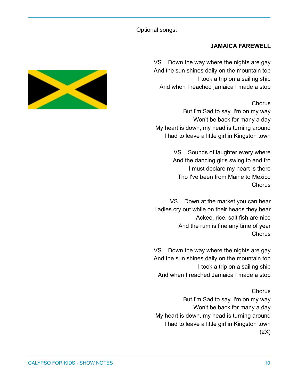Optional songs:

### **JAMAICA FAREWELL**

VS Down the way where the nights are gay And the sun shines daily on the mountain top I took a trip on a sailing ship And when I reached jamaica I made a stop

**Chorus** 

 But I'm Sad to say, I'm on my way Won't be back for many a day My heart is down, my head is turning around I had to leave a little girl in Kingston town

> VS Sounds of laughter every where And the dancing girls swing to and fro I must declare my heart is there Tho I've been from Maine to Mexico **Chorus**

VS Down at the market you can hear Ladies cry out while on their heads they bear Ackee, rice, salt fish are nice And the rum is fine any time of year **Chorus** 

VS Down the way where the nights are gay And the sun shines daily on the mountain top I took a trip on a sailing ship And when I reached Jamaica I made a stop

**Chorus**  But I'm Sad to say, I'm on my way Won't be back for many a day My heart is down, my head is turning around I had to leave a little girl in Kingston town  $(2X)$